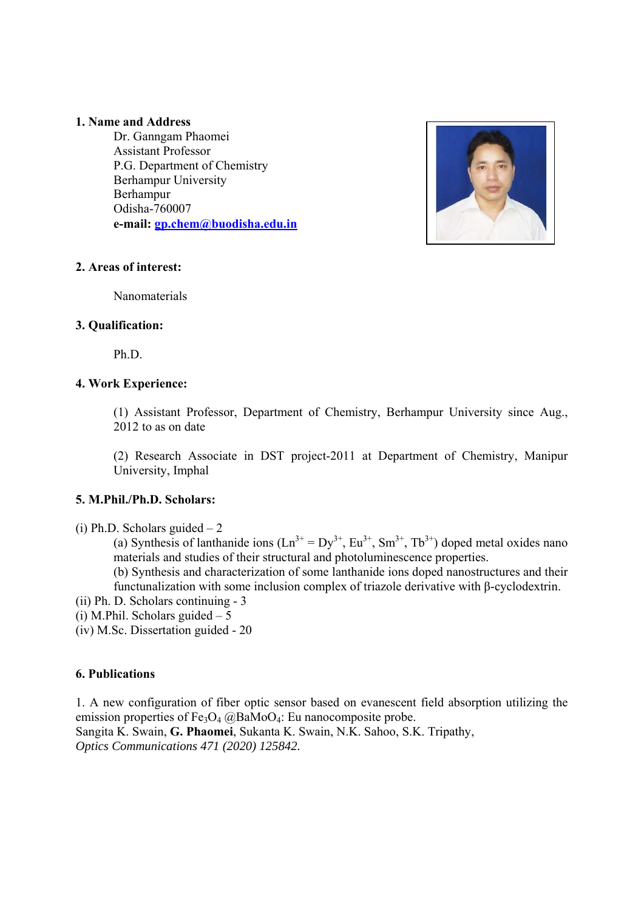#### **1. Name and Address**

Dr. Ganngam Phaomei Assistant Professor P.G. Department of Chemistry Berhampur University Berhampur Odisha-760007 **e-mail: gp.chem@buodisha.edu.in**



# **2. Areas of interest:**

Nanomaterials

# **3. Qualification:**

Ph.D.

# **4. Work Experience:**

(1) Assistant Professor, Department of Chemistry, Berhampur University since Aug., 2012 to as on date

(2) Research Associate in DST project-2011 at Department of Chemistry, Manipur University, Imphal

# **5. M.Phil./Ph.D. Scholars:**

(i) Ph.D. Scholars guided  $-2$ 

(a) Synthesis of lanthanide ions  $(Ln^{3+} = Dy^{3+}, Eu^{3+}, Sm^{3+}, Tb^{3+})$  doped metal oxides nano materials and studies of their structural and photoluminescence properties.

(b) Synthesis and characterization of some lanthanide ions doped nanostructures and their functunalization with some inclusion complex of triazole derivative with β-cyclodextrin.

- (ii) Ph. D. Scholars continuing 3
- (i) M.Phil. Scholars guided  $-5$

(iv) M.Sc. Dissertation guided - 20

# **6. Publications**

1. A new configuration of fiber optic sensor based on evanescent field absorption utilizing the emission properties of  $Fe_3O_4$  @BaMoO<sub>4</sub>: Eu nanocomposite probe. Sangita K. Swain, **G. Phaomei**, Sukanta K. Swain, N.K. Sahoo, S.K. Tripathy, *Optics Communications 471 (2020) 125842.*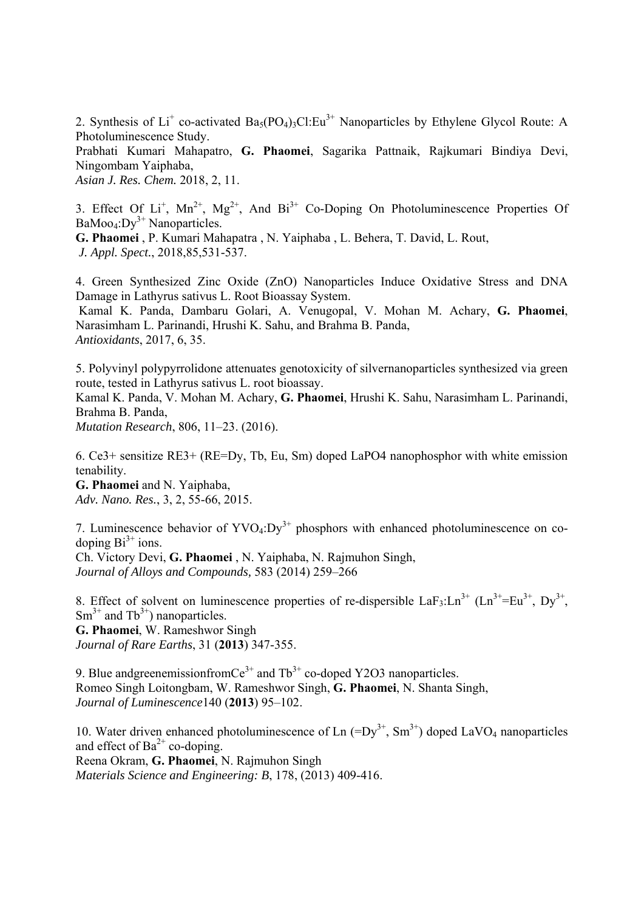2. Synthesis of Li<sup>+</sup> co-activated Ba<sub>5</sub>(PO<sub>4</sub>)<sub>3</sub>Cl:Eu<sup>3+</sup> Nanoparticles by Ethylene Glycol Route: A Photoluminescence Study.

Prabhati Kumari Mahapatro, **G. Phaomei**, Sagarika Pattnaik, Rajkumari Bindiya Devi, Ningombam Yaiphaba,

*Asian J. Res. Chem.* 2018, 2, 11.

3. Effect Of  $Li^+$ ,  $Mn^{2+}$ ,  $Mg^{2+}$ , And  $Bi^{3+}$  Co-Doping On Photoluminescence Properties Of  $BaMoo<sub>4</sub>:Dy<sup>3+</sup> Nanoparticles.$ 

**G. Phaomei** , P. Kumari Mahapatra , N. Yaiphaba , L. Behera, T. David, L. Rout, *J. Appl. Spect.*, 2018,85,531-537.

4. Green Synthesized Zinc Oxide (ZnO) Nanoparticles Induce Oxidative Stress and DNA Damage in Lathyrus sativus L. Root Bioassay System.

 Kamal K. Panda, Dambaru Golari, A. Venugopal, V. Mohan M. Achary, **G. Phaomei**, Narasimham L. Parinandi, Hrushi K. Sahu, and Brahma B. Panda, *Antioxidants*, 2017, 6, 35.

5. Polyvinyl polypyrrolidone attenuates genotoxicity of silvernanoparticles synthesized via green route, tested in Lathyrus sativus L. root bioassay.

Kamal K. Panda, V. Mohan M. Achary, **G. Phaomei**, Hrushi K. Sahu, Narasimham L. Parinandi, Brahma B. Panda,

*Mutation Research*, 806, 11–23. (2016).

6. Ce3+ sensitize RE3+ (RE=Dy, Tb, Eu, Sm) doped LaPO4 nanophosphor with white emission tenability.

**G. Phaomei** and N. Yaiphaba, *Adv. Nano. Res.*, 3, 2, 55-66, 2015.

7. Luminescence behavior of  $\text{YVO}_4:\text{Dy}^{3+}$  phosphors with enhanced photoluminescence on codoping  $Bi^{3+}$  ions.

Ch. Victory Devi, **G. Phaomei** , N. Yaiphaba, N. Rajmuhon Singh, *Journal of Alloys and Compounds,* 583 (2014) 259–266

8. Effect of solvent on luminescence properties of re-dispersible LaF<sub>3</sub>:Ln<sup>3+</sup> (Ln<sup>3+</sup>=Eu<sup>3+</sup>, Dy<sup>3+</sup>,  $Sm^{3+}$  and  $Tb^{3+}$ ) nanoparticles.

**G. Phaomei**, W. Rameshwor Singh *Journal of Rare Earths*, 31 (**2013**) 347-355.

9. Blue andgreenemissionfromCe<sup>3+</sup> and  $\text{Tb}^{3+}$  co-doped Y2O3 nanoparticles. Romeo Singh Loitongbam, W. Rameshwor Singh, **G. Phaomei**, N. Shanta Singh, *Journal of Luminescence*140 (**2013**) 95–102.

10. Water driven enhanced photoluminescence of Ln  $(=Dy^{3+}, Sm^{3+})$  doped LaVO<sub>4</sub> nanoparticles and effect of  $Ba^{2+}$  co-doping. Reena Okram, **G. Phaomei**, N. Rajmuhon Singh *Materials Science and Engineering: B*, 178, (2013) 409-416.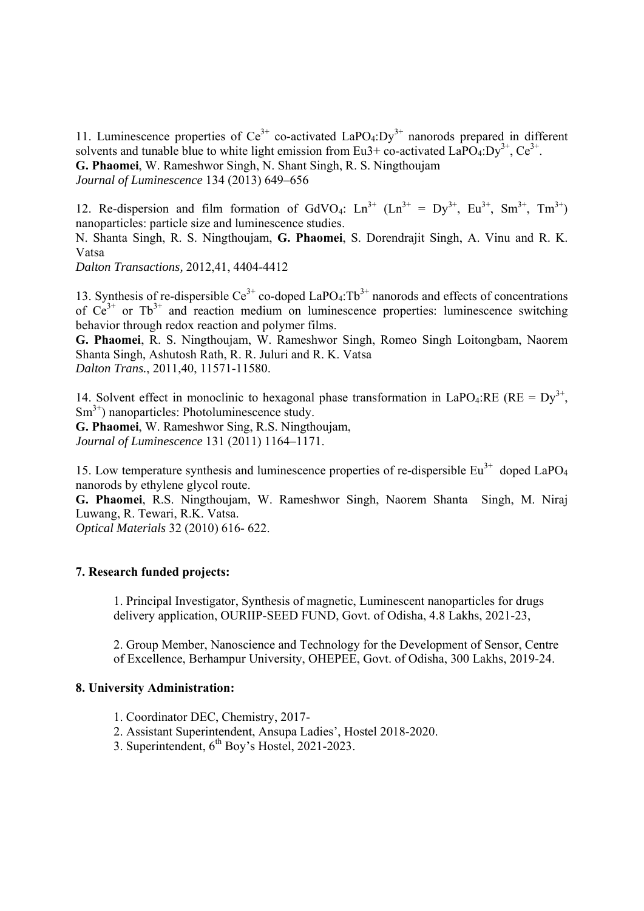11. Luminescence properties of  $Ce^{3+}$  co-activated LaPO<sub>4</sub>:Dy<sup>3+</sup> nanorods prepared in different solvents and tunable blue to white light emission from Eu3+ co-activated  $LaPO<sub>4</sub>:Dv<sup>3+</sup>, Ce<sup>3+</sup>$ . **G. Phaomei**, W. Rameshwor Singh, N. Shant Singh, R. S. Ningthoujam *Journal of Luminescence* 134 (2013) 649–656

12. Re-dispersion and film formation of GdVO<sub>4</sub>:  $\text{Ln}^{3+}$  ( $\text{Ln}^{3+}$  =  $\text{Dy}^{3+}$ ,  $\text{Eu}^{3+}$ ,  $\text{Sm}^{3+}$ ,  $\text{Tr}^{3+}$ ) nanoparticles: particle size and luminescence studies.

N. Shanta Singh, R. S. Ningthoujam, **G. Phaomei**, S. Dorendrajit Singh, A. Vinu and R. K. Vatsa

*Dalton Transactions,* 2012,41, 4404-4412

13. Synthesis of re-dispersible  $Ce^{3+}$  co-doped LaPO<sub>4</sub>:Tb<sup>3+</sup> nanorods and effects of concentrations of  $Ce^{3+}$  or Tb<sup>3+</sup> and reaction medium on luminescence properties: luminescence switching behavior through redox reaction and polymer films.

**G. Phaomei**, R. S. Ningthoujam, W. Rameshwor Singh, Romeo Singh Loitongbam, Naorem Shanta Singh, Ashutosh Rath, R. R. Juluri and R. K. Vatsa *Dalton Trans.*, 2011,40, 11571-11580.

14. Solvent effect in monoclinic to hexagonal phase transformation in LaPO<sub>4</sub>:RE (RE =  $Dv^{3+}$ ,  $\text{Sm}^{3+}$ ) nanoparticles: Photoluminescence study.

**G. Phaomei**, W. Rameshwor Sing, R.S. Ningthoujam, *Journal of Luminescence* 131 (2011) 1164–1171.

15. Low temperature synthesis and luminescence properties of re-dispersible  $Eu^{3+}$  doped LaPO<sub>4</sub> nanorods by ethylene glycol route.

**G. Phaomei**, R.S. Ningthoujam, W. Rameshwor Singh, Naorem Shanta Singh, M. Niraj Luwang, R. Tewari, R.K. Vatsa.

*Optical Materials* 32 (2010) 616- 622.

# **7. Research funded projects:**

1. Principal Investigator, Synthesis of magnetic, Luminescent nanoparticles for drugs delivery application, OURIIP-SEED FUND, Govt. of Odisha, 4.8 Lakhs, 2021-23,

2. Group Member, Nanoscience and Technology for the Development of Sensor, Centre of Excellence, Berhampur University, OHEPEE, Govt. of Odisha, 300 Lakhs, 2019-24.

#### **8. University Administration:**

- 1. Coordinator DEC, Chemistry, 2017-
- 2. Assistant Superintendent, Ansupa Ladies', Hostel 2018-2020.
- 3. Superintendent, 6th Boy's Hostel, 2021-2023.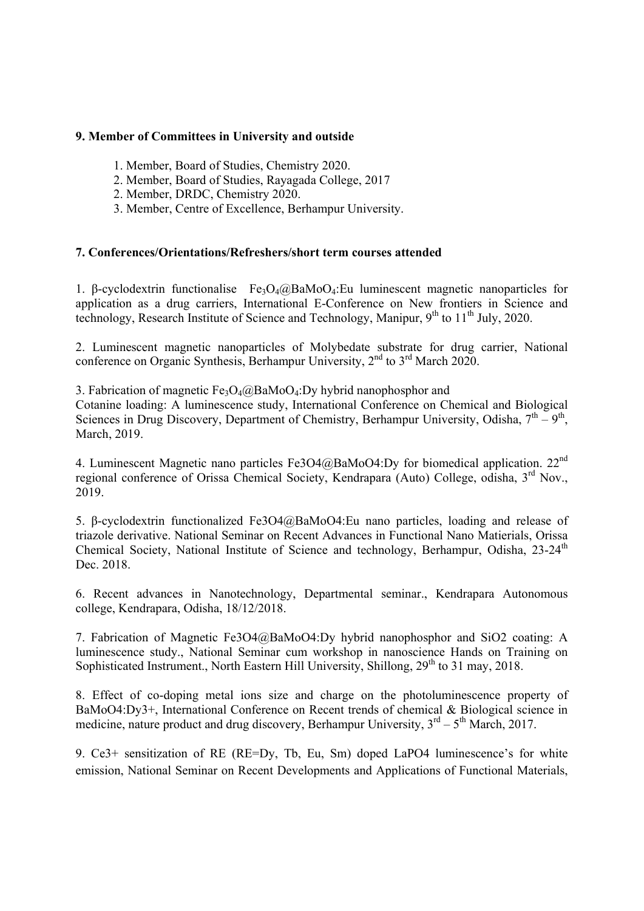#### **9. Member of Committees in University and outside**

- 1. Member, Board of Studies, Chemistry 2020.
- 2. Member, Board of Studies, Rayagada College, 2017
- 2. Member, DRDC, Chemistry 2020.
- 3. Member, Centre of Excellence, Berhampur University.

#### **7. Conferences/Orientations/Refreshers/short term courses attended**

1. β-cyclodextrin functionalise Fe<sub>3</sub>O<sub>4</sub>@BaMoO<sub>4</sub>:Eu luminescent magnetic nanoparticles for application as a drug carriers, International E-Conference on New frontiers in Science and technology, Research Institute of Science and Technology, Manipur,  $9<sup>th</sup>$  to  $11<sup>th</sup>$  July, 2020.

2. Luminescent magnetic nanoparticles of Molybedate substrate for drug carrier, National conference on Organic Synthesis, Berhampur University, 2<sup>nd</sup> to 3<sup>rd</sup> March 2020.

3. Fabrication of magnetic  $Fe_3O_4@BaMoO_4:Dv$  hybrid nanophosphor and

Cotanine loading: A luminescence study, International Conference on Chemical and Biological Sciences in Drug Discovery, Department of Chemistry, Berhampur University, Odisha,  $7<sup>th</sup> - 9<sup>th</sup>$ . March, 2019.

4. Luminescent Magnetic nano particles Fe3O4@BaMoO4:Dy for biomedical application. 22<sup>nd</sup> regional conference of Orissa Chemical Society, Kendrapara (Auto) College, odisha, 3<sup>rd</sup> Nov., 2019.

5. β-cyclodextrin functionalized Fe3O4@BaMoO4:Eu nano particles, loading and release of triazole derivative. National Seminar on Recent Advances in Functional Nano Matierials, Orissa Chemical Society, National Institute of Science and technology, Berhampur, Odisha, 23-24<sup>th</sup> Dec. 2018.

6. Recent advances in Nanotechnology, Departmental seminar., Kendrapara Autonomous college, Kendrapara, Odisha, 18/12/2018.

7. Fabrication of Magnetic Fe3O4@BaMoO4:Dy hybrid nanophosphor and SiO2 coating: A luminescence study., National Seminar cum workshop in nanoscience Hands on Training on Sophisticated Instrument., North Eastern Hill University, Shillong, 29<sup>th</sup> to 31 may, 2018.

8. Effect of co-doping metal ions size and charge on the photoluminescence property of BaMoO4:Dy3+, International Conference on Recent trends of chemical & Biological science in medicine, nature product and drug discovery, Berhampur University,  $3^{rd} - 5^{th}$  March, 2017.

9. Ce3+ sensitization of RE (RE=Dy, Tb, Eu, Sm) doped LaPO4 luminescence's for white emission, National Seminar on Recent Developments and Applications of Functional Materials,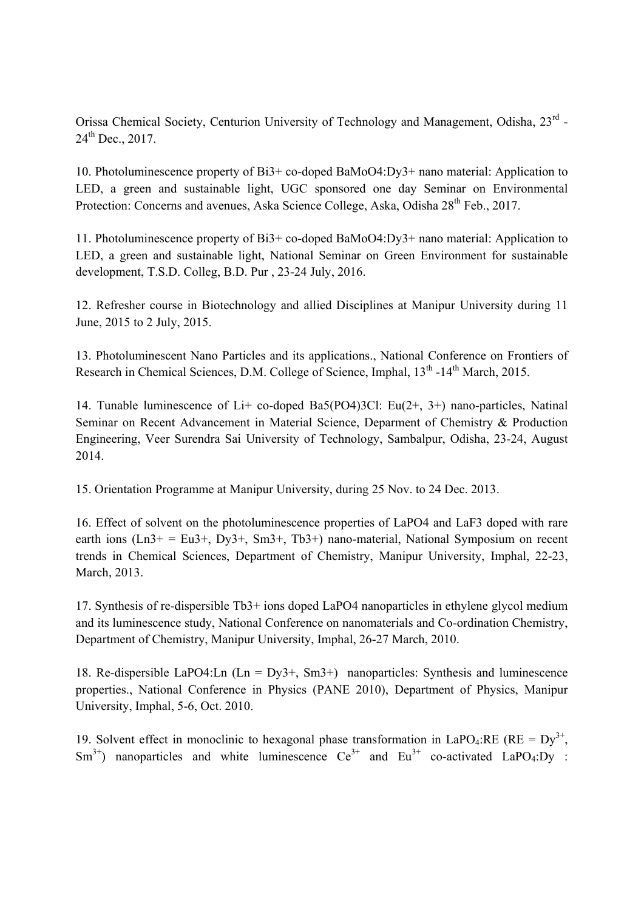Orissa Chemical Society, Centurion University of Technology and Management, Odisha, 23rd -  $24^{th}$  Dec., 2017.

10. Photoluminescence property of Bi3+ co-doped BaMoO4:Dy3+ nano material: Application to LED, a green and sustainable light, UGC sponsored one day Seminar on Environmental Protection: Concerns and avenues, Aska Science College, Aska, Odisha 28<sup>th</sup> Feb., 2017.

11. Photoluminescence property of Bi3+ co-doped BaMoO4:Dy3+ nano material: Application to LED, a green and sustainable light, National Seminar on Green Environment for sustainable development, T.S.D. Colleg, B.D. Pur , 23-24 July, 2016.

12. Refresher course in Biotechnology and allied Disciplines at Manipur University during 11 June, 2015 to 2 July, 2015.

13. Photoluminescent Nano Particles and its applications., National Conference on Frontiers of Research in Chemical Sciences, D.M. College of Science, Imphal,  $13<sup>th</sup>$ -14<sup>th</sup> March, 2015.

14. Tunable luminescence of Li+ co-doped Ba5(PO4)3Cl: Eu(2+, 3+) nano-particles, Natinal Seminar on Recent Advancement in Material Science, Deparment of Chemistry & Production Engineering, Veer Surendra Sai University of Technology, Sambalpur, Odisha, 23-24, August 2014.

15. Orientation Programme at Manipur University, during 25 Nov. to 24 Dec. 2013.

16. Effect of solvent on the photoluminescence properties of LaPO4 and LaF3 doped with rare earth ions  $(Ln3+ = Eu3+$ ,  $Dv3+$ ,  $Sm3+$ ,  $Tb3+$ ) nano-material, National Symposium on recent trends in Chemical Sciences, Department of Chemistry, Manipur University, Imphal, 22-23, March, 2013.

17. Synthesis of re-dispersible Tb3+ ions doped LaPO4 nanoparticles in ethylene glycol medium and its luminescence study, National Conference on nanomaterials and Co-ordination Chemistry, Department of Chemistry, Manipur University, Imphal, 26-27 March, 2010.

18. Re-dispersible LaPO4:Ln  $(Ln = Dy3 + Sm3)$  nanoparticles: Synthesis and luminescence properties., National Conference in Physics (PANE 2010), Department of Physics, Manipur University, Imphal, 5-6, Oct. 2010.

19. Solvent effect in monoclinic to hexagonal phase transformation in LaPO<sub>4</sub>:RE (RE =  $Dy^{3+}$ ,  $\text{Sm}^{3+}$ ) nanoparticles and white luminescence  $\text{Ce}^{3+}$  and  $\text{Eu}^{3+}$  co-activated LaPO<sub>4</sub>:Dy :